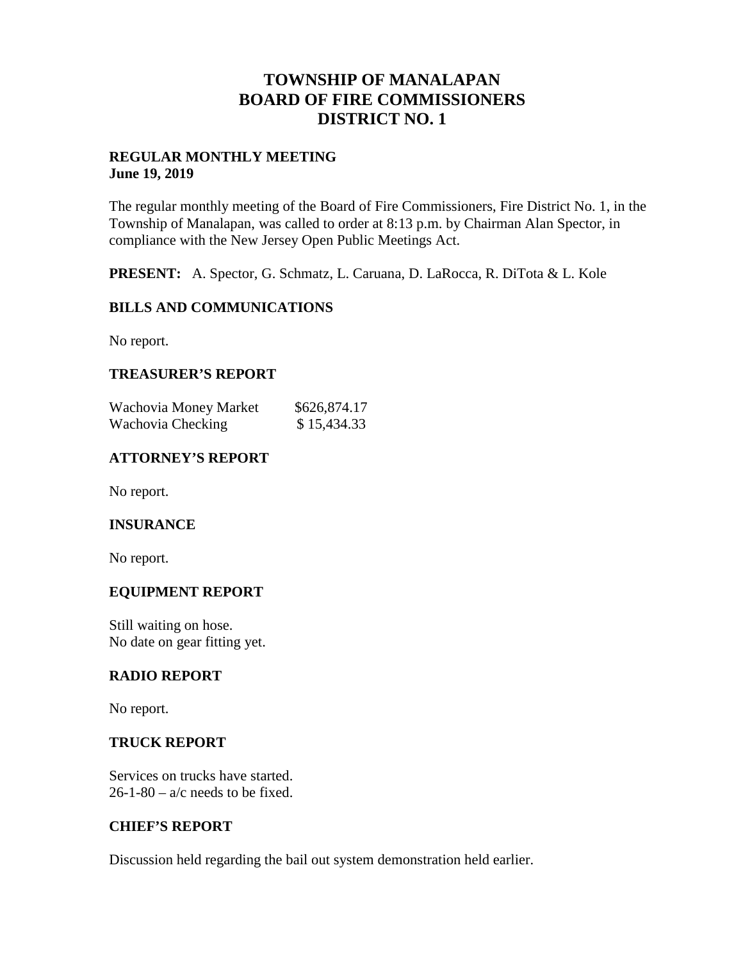## **TOWNSHIP OF MANALAPAN BOARD OF FIRE COMMISSIONERS DISTRICT NO. 1**

#### **REGULAR MONTHLY MEETING June 19, 2019**

The regular monthly meeting of the Board of Fire Commissioners, Fire District No. 1, in the Township of Manalapan, was called to order at 8:13 p.m. by Chairman Alan Spector, in compliance with the New Jersey Open Public Meetings Act.

**PRESENT:** A. Spector, G. Schmatz, L. Caruana, D. LaRocca, R. DiTota & L. Kole

## **BILLS AND COMMUNICATIONS**

No report.

## **TREASURER'S REPORT**

| Wachovia Money Market | \$626,874.17 |
|-----------------------|--------------|
| Wachovia Checking     | \$15,434.33  |

## **ATTORNEY'S REPORT**

No report.

#### **INSURANCE**

No report.

#### **EQUIPMENT REPORT**

Still waiting on hose. No date on gear fitting yet.

#### **RADIO REPORT**

No report.

#### **TRUCK REPORT**

Services on trucks have started.  $26-1-80 - a/c$  needs to be fixed.

#### **CHIEF'S REPORT**

Discussion held regarding the bail out system demonstration held earlier.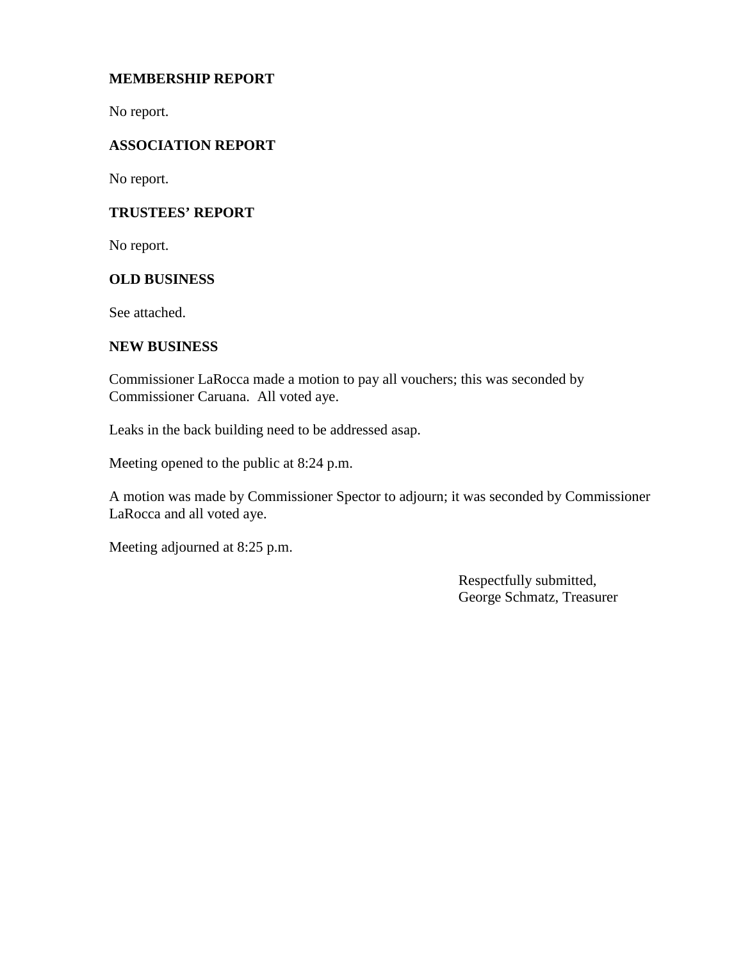## **MEMBERSHIP REPORT**

No report.

## **ASSOCIATION REPORT**

No report.

#### **TRUSTEES' REPORT**

No report.

#### **OLD BUSINESS**

See attached.

#### **NEW BUSINESS**

Commissioner LaRocca made a motion to pay all vouchers; this was seconded by Commissioner Caruana. All voted aye.

Leaks in the back building need to be addressed asap.

Meeting opened to the public at 8:24 p.m.

A motion was made by Commissioner Spector to adjourn; it was seconded by Commissioner LaRocca and all voted aye.

Meeting adjourned at 8:25 p.m.

Respectfully submitted, George Schmatz, Treasurer